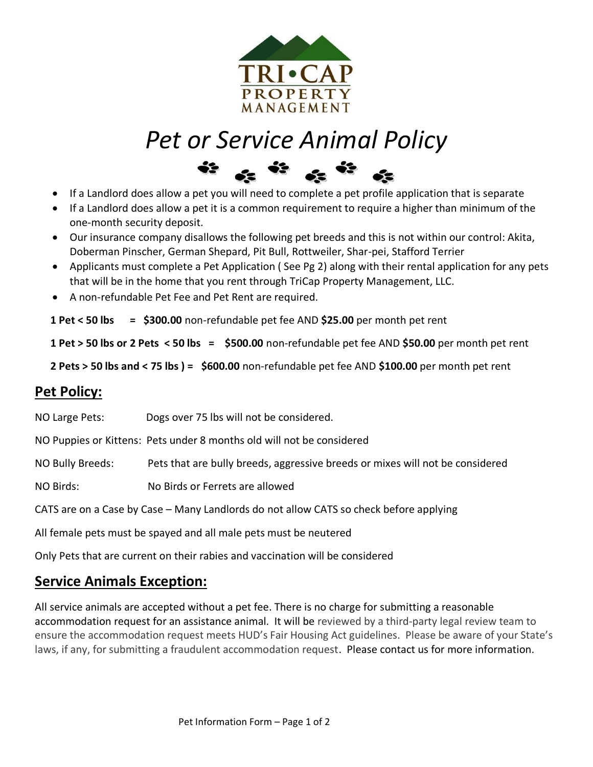

# *Pet or Service Animal Policy*



- If a Landlord does allow a pet you will need to complete a pet profile application that is separate
- If a Landlord does allow a pet it is a common requirement to require a higher than minimum of the one-month security deposit.
- Our insurance company disallows the following pet breeds and this is not within our control: Akita, Doberman Pinscher, German Shepard, Pit Bull, Rottweiler, Shar-pei, Stafford Terrier
- Applicants must complete a Pet Application ( See Pg 2) along with their rental application for any pets that will be in the home that you rent through TriCap Property Management, LLC.
- A non-refundable Pet Fee and Pet Rent are required.

 **1 Pet < 50 lbs = \$300.00** non-refundable pet fee AND **\$25.00** per month pet rent

 **1 Pet > 50 lbs or 2 Pets < 50 lbs = \$500.00** non-refundable pet fee AND **\$50.00** per month pet rent

**2 Pets > 50 lbs and < 75 lbs ) = \$600.00** non-refundable pet fee AND **\$100.00** per month pet rent

## **Pet Policy:**

NO Large Pets: Dogs over 75 lbs will not be considered.

NO Puppies or Kittens: Pets under 8 months old will not be considered

NO Bully Breeds: Pets that are bully breeds, aggressive breeds or mixes will not be considered

NO Birds: No Birds or Ferrets are allowed

CATS are on a Case by Case – Many Landlords do not allow CATS so check before applying

All female pets must be spayed and all male pets must be neutered

Only Pets that are current on their rabies and vaccination will be considered

## **Service Animals Exception:**

All service animals are accepted without a pet fee. There is no charge for submitting a reasonable accommodation request for an assistance animal. It will be reviewed by a third-party legal review team to ensure the accommodation request meets HUD's Fair Housing Act guidelines. Please be aware of your State's laws, if any, for submitting a fraudulent accommodation request. Please contact us for more information.